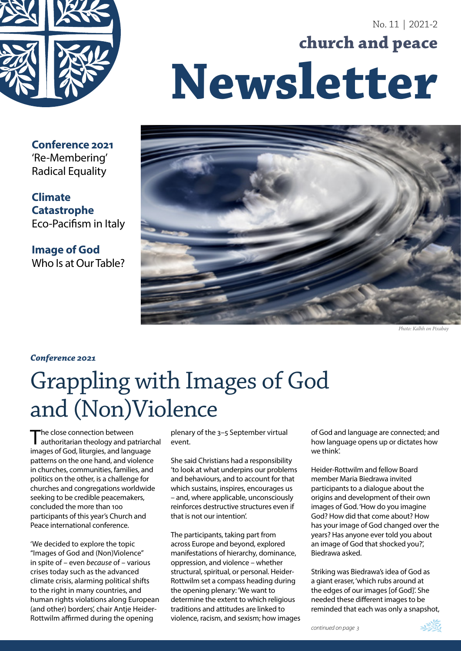

# No. 11 | 2021-2 **church and peace Newsletter**



*Photo: Kalhh on Pixabay*

**Conference 2021** 'Re-Membering' Radical Equality

**Climate Catastrophe** Eco-Pacifism in Italy

**Image of God** Who Is at Our Table?

#### *Conference 2021*

# Grappling with Images of God and (Non)Violence

The close connection between<br>authoritarian theology and patriarchal images of God, liturgies, and language patterns on the one hand, and violence in churches, communities, families, and politics on the other, is a challenge for churches and congregations worldwide seeking to be credible peacemakers, concluded the more than 100 participants of this year's Church and Peace international conference.

'We decided to explore the topic "Images of God and (Non)Violence" in spite of – even *because* of – various crises today such as the advanced climate crisis, alarming political shifts to the right in many countries, and human rights violations along European (and other) borders', chair Antje Heider-Rottwilm affirmed during the opening

plenary of the 3–5 September virtual event.

She said Christians had a responsibility 'to look at what underpins our problems and behaviours, and to account for that which sustains, inspires, encourages us – and, where applicable, unconsciously reinforces destructive structures even if that is not our intention'.

The participants, taking part from across Europe and beyond, explored manifestations of hierarchy, dominance, oppression, and violence – whether structural, spiritual, or personal. Heider-Rottwilm set a compass heading during the opening plenary: 'We want to determine the extent to which religious traditions and attitudes are linked to violence, racism, and sexism; how images of God and language are connected; and how language opens up or dictates how we think'.

Heider-Rottwilm and fellow Board member Maria Biedrawa invited participants to a dialogue about the origins and development of their own images of God. 'How do you imagine God? How did that come about? How has your image of God changed over the years? Has anyone ever told you about an image of God that shocked you?', Biedrawa asked.

Striking was Biedrawa's idea of God as a giant eraser, 'which rubs around at the edges of our images [of God]'. She needed these different images to be reminded that each was only a snapshot,

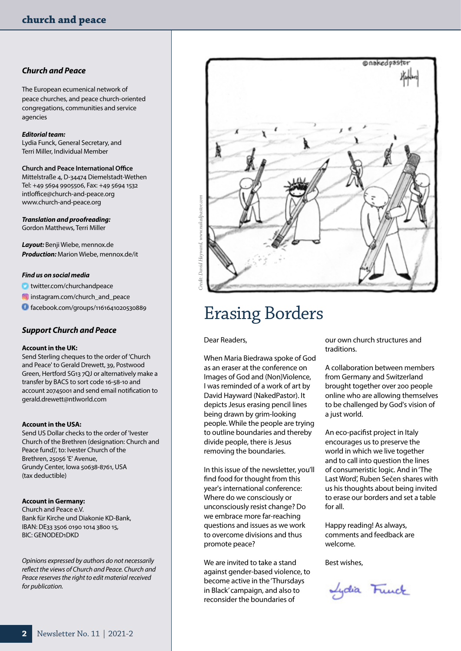#### *Church and Peace*

The European ecumenical network of peace churches, and peace church-oriented congregations, communities and service agencies

#### *Editorial team:*

Lydia Funck, General Secretary, and Terri Miller, Individual Member

**Church and Peace International Office** Mittelstraße 4, D-34474 Diemelstadt-Wethen Tel: +49 5694 9905506, Fax: +49 5694 1532 [intloffice@church-and-peace.org](mailto:intloffice%40church-and-peace.org%20?subject=) [www.church-and-peace.org](http://www.church-and-peace.org)

*Translation and proofreading:* Gordon Matthews, Terri Miller

*Layout:* Benji Wiebe, [mennox.de](http://mennox.de) *Production:* Marion Wiebe, [mennox.de/it](http://mennox.de/it)

#### *Find us on social media*

[twitter.com/churchandpeace](http://twitter.com/churchandpeace)

**ia** [instagram.com/church\\_and\\_peace](http://instagram.com/church_and_peace/)

[facebook.com/groups/1161641020530889](http://facebook.com/groups/1161641020530889)

#### *Support Church and Peace*

#### **Account in the UK:**

Send Sterling cheques to the order of 'Church and Peace' to Gerald Drewett, 39, Postwood Green, Hertford SG13 7QJ or alternatively make a transfer by BACS to sort code 16-58-10 and account 20745001 and send email notification to [gerald.drewett@ntlworld.com](mailto:gerald.drewett@ntlworld.com)

#### **Account in the USA:**

Send US Dollar checks to the order of 'Ivester Church of the Brethren (designation: Church and Peace fund)', to: Ivester Church of the Brethren, 25056 'E' Avenue, Grundy Center, Iowa 50638-8761, USA (tax deductible)

#### **Account in Germany:**

Church and Peace e.V. Bank für Kirche und Diakonie KD-Bank, IBAN: DE33 3506 0190 1014 3800 15, BIC: GENODED1DKD

*Opinions expressed by authors do not necessarily reflect the views of Church and Peace. Church and Peace reserves the right to edit material received for publication.* 



## Erasing Borders

Dear Readers,

When Maria Biedrawa spoke of God as an eraser at the conference on Images of God and (Non)Violence, I was reminded of a work of art by David Hayward (NakedPastor). It depicts Jesus erasing pencil lines being drawn by grim-looking people. While the people are trying to outline boundaries and thereby divide people, there is Jesus removing the boundaries.

In this issue of the newsletter, you'll find food for thought from this year's international conference: Where do we consciously or unconsciously resist change? Do we embrace more far-reaching questions and issues as we work to overcome divisions and thus promote peace?

We are invited to take a stand against gender-based violence, to become active in the 'Thursdays in Black' campaign, and also to reconsider the boundaries of

our own church structures and traditions.

A collaboration between members from Germany and Switzerland brought together over 200 people online who are allowing themselves to be challenged by God's vision of a just world.

An eco-pacifist project in Italy encourages us to preserve the world in which we live together and to call into question the lines of consumeristic logic. And in 'The Last Word', Ruben Sečen shares with us his thoughts about being invited to erase our borders and set a table for all.

Happy reading! As always, comments and feedback are welcome.

Best wishes,

Lydia Funck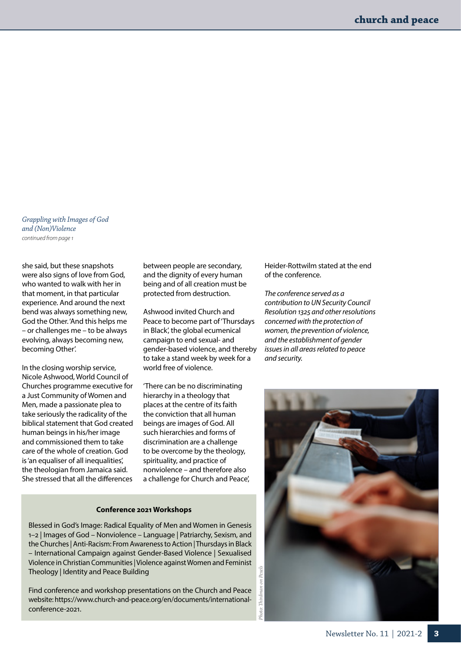*Grappling with Images of God and (Non)Violence continued from page 1*

she said, but these snapshots were also signs of love from God, who wanted to walk with her in that moment, in that particular experience. And around the next bend was always something new, God the Other. 'And this helps me – or challenges me – to be always evolving, always becoming new, becoming Other'.

In the closing worship service, Nicole Ashwood, World Council of Churches programme executive for a Just Community of Women and Men, made a passionate plea to take seriously the radicality of the biblical statement that God created human beings in his/her image and commissioned them to take care of the whole of creation. God is 'an equaliser of all inequalities', the theologian from Jamaica said. She stressed that all the differences

between people are secondary, and the dignity of every human being and of all creation must be protected from destruction.

Ashwood invited Church and Peace to become part of 'Thursdays in Black', the global ecumenical campaign to end sexual- and gender-based violence, and thereby to take a stand week by week for a world free of violence.

'There can be no discriminating hierarchy in a theology that places at the centre of its faith the conviction that all human beings are images of God. All such hierarchies and forms of discrimination are a challenge to be overcome by the theology, spirituality, and practice of nonviolence – and therefore also a challenge for Church and Peace',

#### **Conference 2021 Workshops**

Blessed in God's Image: Radical Equality of Men and Women in Genesis 1–2 | Images of God – Nonviolence – Language | Patriarchy, Sexism, and the Churches | Anti-Racism: From Awareness to Action | Thursdays in Black – International Campaign against Gender-Based Violence | Sexualised Violence in Christian Communities | Violence against Women and Feminist Theology | Identity and Peace Building

Find conference and workshop presentations on the Church and Peace website: [https://www.church-and-peace.org/en/documents/international](https://www.church-and-peace.org/en/documents/international-conference-2021)[conference-2021](https://www.church-and-peace.org/en/documents/international-conference-2021).

Heider-Rottwilm stated at the end of the conference.

*The conference served as a contribution to UN Security Council Resolution 1325 and other resolutions concerned with the protection of women, the prevention of violence, and the establishment of gender issues in all areas related to peace and security.*

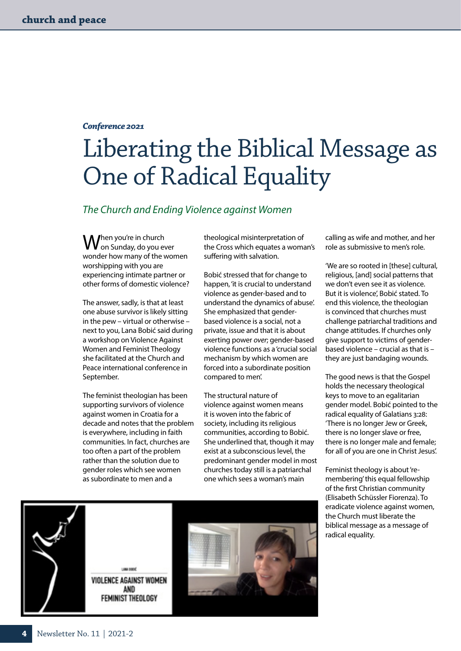#### *Conference 2021*

# Liberating the Biblical Message as One of Radical Equality

#### *The Church and Ending Violence against Women*

When you're in church<br>Won Sunday, do you ever wonder how many of the women worshipping with you are experiencing intimate partner or other forms of domestic violence?

The answer, sadly, is that at least one abuse survivor is likely sitting in the pew – virtual or otherwise – next to you, Lana Bobić said during a workshop on Violence Against Women and Feminist Theology she facilitated at the Church and Peace international conference in September.

The feminist theologian has been supporting survivors of violence against women in Croatia for a decade and notes that the problem is everywhere, including in faith communities. In fact, churches are too often a part of the problem rather than the solution due to gender roles which see women as subordinate to men and a

theological misinterpretation of the Cross which equates a woman's suffering with salvation.

Bobić stressed that for change to happen, 'it is crucial to understand violence as gender-based and to understand the dynamics of abuse'. She emphasized that genderbased violence is a social, not a private, issue and that it is about exerting power *over*; gender-based violence functions as a 'crucial social mechanism by which women are forced into a subordinate position compared to men'.

The structural nature of violence against women means it is woven into the fabric of society, including its religious communities, according to Bobić. She underlined that, though it may exist at a subconscious level, the predominant gender model in most churches today still is a patriarchal one which sees a woman's main

calling as wife and mother, and her role as submissive to men's role.

'We are so rooted in [these] cultural, religious, [and] social patterns that we don't even see it as violence. But it is violence', Bobić stated. To end this violence, the theologian is convinced that churches must challenge patriarchal traditions and change attitudes. If churches only give support to victims of genderbased violence – crucial as that is – they are just bandaging wounds.

The good news is that the Gospel holds the necessary theological keys to move to an egalitarian gender model. Bobić pointed to the radical equality of Galatians 3:28: 'There is no longer Jew or Greek, there is no longer slave or free, there is no longer male and female; for all of you are one in Christ Jesus'.

Feminist theology is about 'remembering' this equal fellowship of the first Christian community (Elisabeth Schüssler Fiorenza). To eradicate violence against women, the Church must liberate the biblical message as a message of radical equality.



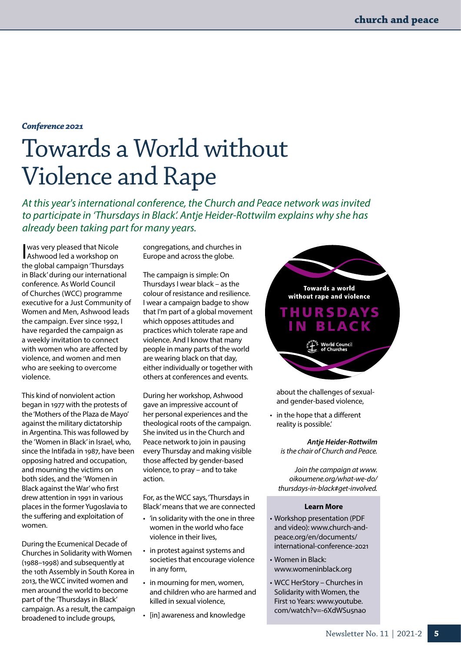#### *Conference 2021*

# Towards a World without Violence and Rape

*At this year's international conference, the Church and Peace network was invited to participate in 'Thursdays in Black'. Antje Heider-Rottwilm explains why she has already been taking part for many years.* 

I was very pleased that Nicole Ashwood led a workshop on the global campaign 'Thursdays in Black' during our international conference. As World Council of Churches (WCC) programme executive for a Just Community of Women and Men, Ashwood leads the campaign. Ever since 1992, I have regarded the campaign as a weekly invitation to connect with women who are affected by violence, and women and men who are seeking to overcome violence.

This kind of nonviolent action began in 1977 with the protests of the 'Mothers of the Plaza de Mayo' against the military dictatorship in Argentina. This was followed by the 'Women in Black' in Israel, who, since the Intifada in 1987, have been opposing hatred and occupation, and mourning the victims on both sides, and the 'Women in Black against the War' who first drew attention in 1991 in various places in the former Yugoslavia to the suffering and exploitation of women.

During the Ecumenical Decade of Churches in Solidarity with Women (1988–1998) and subsequently at the 10th Assembly in South Korea in 2013, the WCC invited women and men around the world to become part of the 'Thursdays in Black' campaign. As a result, the campaign broadened to include groups,

congregations, and churches in Europe and across the globe.

The campaign is simple: On Thursdays I wear black – as the colour of resistance and resilience. I wear a campaign badge to show that I'm part of a global movement which opposes attitudes and practices which tolerate rape and violence. And I know that many people in many parts of the world are wearing black on that day, either individually or together with others at conferences and events.

During her workshop, Ashwood gave an impressive account of her personal experiences and the theological roots of the campaign. She invited us in the Church and Peace network to join in pausing every Thursday and making visible those affected by gender-based violence, to pray – and to take action.

For, as the WCC says, 'Thursdays in Black' means that we are connected

- 'in solidarity with the one in three women in the world who face violence in their lives,
- in protest against systems and societies that encourage violence in any form,
- in mourning for men, women, and children who are harmed and killed in sexual violence,
- [in] awareness and knowledge

Towards a world without rape and violence **THURSDAYS BLACK** a<sup>sume</sup> World Council<br>
of Churches

about the challenges of sexualand gender-based violence,

• in the hope that a different reality is possible.'

> *Antje Heider-Rottwilm is the chair of Church and Peace.*

*Join the campaign at [www.](http://www.oikoumene.org/what-we-do/thursdays-in-black#get-involved) [oikoumene.org/what-we-do/](http://www.oikoumene.org/what-we-do/thursdays-in-black#get-involved) [thursdays-in-black#get-involved](http://www.oikoumene.org/what-we-do/thursdays-in-black#get-involved).*

#### **Learn More**

- Workshop presentation (PDF and video): [www.church-and](http://www.church-and-peace.org/en/documents/international-conference-2021)[peace.org/en/documents/](http://www.church-and-peace.org/en/documents/international-conference-2021) [international-conference-2021](http://www.church-and-peace.org/en/documents/international-conference-2021)
- Women in Black: [www.womeninblack.org](http://www.womeninblack.org)
- WCC HerStory Churches in Solidarity with Women, the First 10 Years: [www.youtube.](http://www.youtube.com/watch?v=-6XdWSu5nao) [com/watch?v=-6XdWSu5nao](http://www.youtube.com/watch?v=-6XdWSu5nao)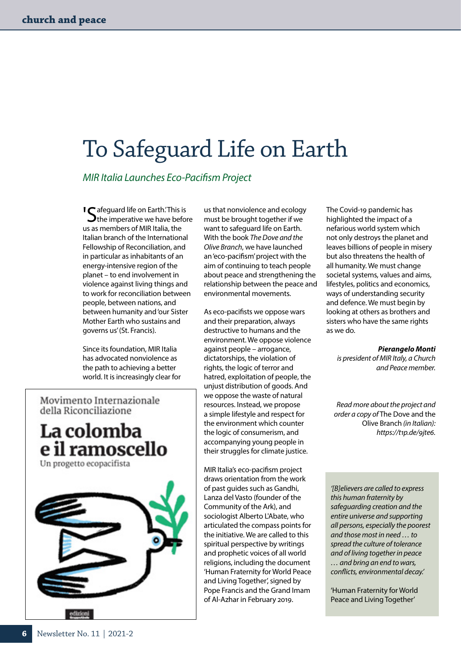## To Safeguard Life on Earth

*MIR Italia Launches Eco-Pacifism Project*

'Safeguard life on Earth.' This is the imperative we have before us as members of MIR Italia, the Italian branch of the International Fellowship of Reconciliation, and in particular as inhabitants of an energy-intensive region of the planet – to end involvement in violence against living things and to work for reconciliation between people, between nations, and between humanity and 'our Sister Mother Earth who sustains and governs us' (St. Francis).

Since its foundation, MIR Italia has advocated nonviolence as the path to achieving a better world. It is increasingly clear for

Movimento Internazionale della Riconciliazione

e il ramoscello

La colomba

Un progetto ecopacifista

us that nonviolence and ecology must be brought together if we want to safeguard life on Earth. With the book *The Dove and the Olive Branch*, we have launched an 'eco-pacifism' project with the aim of continuing to teach people about peace and strengthening the relationship between the peace and environmental movements.

As eco-pacifists we oppose wars and their preparation, always destructive to humans and the environment. We oppose violence against people – arrogance, dictatorships, the violation of rights, the logic of terror and hatred, exploitation of people, the unjust distribution of goods. And we oppose the waste of natural resources. Instead, we propose a simple lifestyle and respect for the environment which counter the logic of consumerism, and accompanying young people in their struggles for climate justice.

MIR Italia's eco-pacifism project draws orientation from the work of past guides such as Gandhi, Lanza del Vasto (founder of the Community of the Ark), and sociologist Alberto L'Abate, who articulated the compass points for the initiative. We are called to this spiritual perspective by writings and prophetic voices of all world religions, including the document 'Human Fraternity for World Peace and Living Together', signed by Pope Francis and the Grand Imam of Al-Azhar in February 2019.

The Covid-19 pandemic has highlighted the impact of a nefarious world system which not only destroys the planet and leaves billions of people in misery but also threatens the health of all humanity. We must change societal systems, values and aims, lifestyles, politics and economics, ways of understanding security and defence. We must begin by looking at others as brothers and sisters who have the same rights as we do.

#### *Pierangelo Monti*

 *is president of MIR Italy, a Church and Peace member.*

*Read more about the project and order a copy of* The Dove and the Olive Branch *(in Italian): [https://t1p.de/9jte6.](https://t1p.de/9jte6)*

*'[B]elievers are called to express this human fraternity by safeguarding creation and the entire universe and supporting all persons, especially the poorest and those most in need … to spread the culture of tolerance and of living together in peace … and bring an end to wars, conflicts, environmental decay.'*

'Human Fraternity for World Peace and Living Together'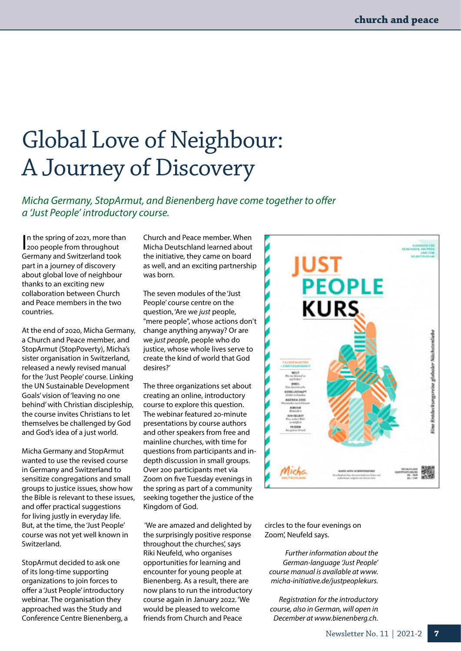# Global Love of Neighbour: A Journey of Discovery

*Micha Germany, StopArmut, and Bienenberg have come together to offer a 'Just People' introductory course.*

In the spring of 2021, more than<br>200 people from throughout 200 people from throughout Germany and Switzerland took part in a journey of discovery about global love of neighbour thanks to an exciting new collaboration between Church and Peace members in the two countries.

At the end of 2020, Micha Germany, a Church and Peace member, and StopArmut (StopPoverty), Micha's sister organisation in Switzerland, released a newly revised manual for the 'Just People' course. Linking the UN Sustainable Development Goals' vision of 'leaving no one behind' with Christian discipleship, the course invites Christians to let themselves be challenged by God and God's idea of a just world.

Micha Germany and StopArmut wanted to use the revised course in Germany and Switzerland to sensitize congregations and small groups to justice issues, show how the Bible is relevant to these issues, and offer practical suggestions for living justly in everyday life. But, at the time, the 'Just People' course was not yet well known in Switzerland.

StopArmut decided to ask one of its long-time supporting organizations to join forces to offer a 'Just People' introductory webinar. The organisation they approached was the Study and Conference Centre Bienenberg, a Church and Peace member. When Micha Deutschland learned about the initiative, they came on board as well, and an exciting partnership was born.

The seven modules of the 'Just People' course centre on the question, 'Are we *just* people, "mere people", whose actions don't change anything anyway? Or are we *just people*, people who do justice, whose whole lives serve to create the kind of world that God desires?'

The three organizations set about creating an online, introductory course to explore this question. The webinar featured 20-minute presentations by course authors and other speakers from free and mainline churches, with time for questions from participants and indepth discussion in small groups. Over 200 participants met via Zoom on five Tuesday evenings in the spring as part of a community seeking together the justice of the Kingdom of God.

 'We are amazed and delighted by the surprisingly positive response throughout the churches', says Riki Neufeld, who organises opportunities for learning and encounter for young people at Bienenberg. As a result, there are now plans to run the introductory course again in January 2022. 'We would be pleased to welcome friends from Church and Peace



circles to the four evenings on Zoom', Neufeld says.

*Further information about the German-language 'Just People' course manual is available at [www.](http://www.micha-initiative.de/justpeoplekurs) [micha-initiative.de/justpeoplekurs](http://www.micha-initiative.de/justpeoplekurs).*

*Registration for the introductory course, also in German, will open in December at [www.bienenberg.ch](http://www.bienenberg.ch).*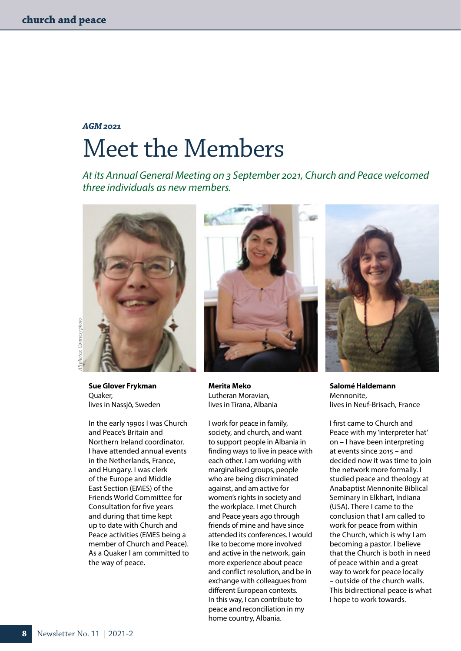## *AGM 2021* Meet the Members

*At its Annual General Meeting on 3 September 2021, Church and Peace welcomed three individuals as new members.*





**Sue Glover Frykman** Quaker, lives in Nassjö, Sweden

In the early 1990s I was Church and Peace's Britain and Northern Ireland coordinator. I have attended annual events in the Netherlands, France, and Hungary. I was clerk of the Europe and Middle East Section (EMES) of the Friends World Committee for Consultation for five years and during that time kept up to date with Church and Peace activities (EMES being a member of Church and Peace). As a Quaker I am committed to the way of peace.



**Merita Meko** Lutheran Moravian, lives in Tirana, Albania

I work for peace in family, society, and church, and want to support people in Albania in finding ways to live in peace with each other. I am working with marginalised groups, people who are being discriminated against, and am active for women's rights in society and the workplace. I met Church and Peace years ago through friends of mine and have since attended its conferences. I would like to become more involved and active in the network, gain more experience about peace and conflict resolution, and be in exchange with colleagues from different European contexts. In this way, I can contribute to peace and reconciliation in my home country, Albania.



**Salomé Haldemann** Mennonite, lives in Neuf-Brisach, France

I first came to Church and Peace with my 'interpreter hat' on – I have been interpreting at events since 2015 – and decided now it was time to join the network more formally. I studied peace and theology at Anabaptist Mennonite Biblical Seminary in Elkhart, Indiana (USA). There I came to the conclusion that I am called to work for peace from within the Church, which is why I am becoming a pastor. I believe that the Church is both in need of peace within and a great way to work for peace locally – outside of the church walls. This bidirectional peace is what I hope to work towards.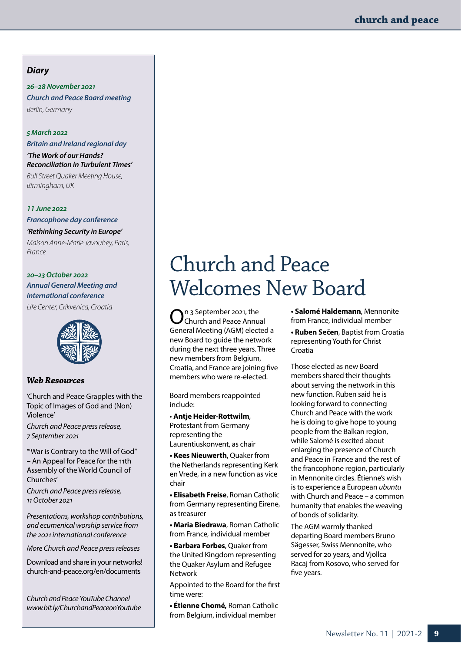#### *Diary*

*26–28 November 2021 Church and Peace Board meeting Berlin, Germany*

#### *5 March 2022*

*Britain and Ireland regional day*

*'The Work of our Hands? Reconciliation in Turbulent Times' Bull Street Quaker Meeting House, Birmingham, UK* 

#### **11** *June 2022*

*Francophone day conference*

*'Rethinking Security in Europe' Maison Anne-Marie Javouhey, Paris, France*

#### *20–23 October 2022 Annual General Meeting and international conference Life Center, Crikvenica, Croatia*

#### *Web Resources*

'Church and Peace Grapples with the Topic of Images of God and (Non) Violence'

*Church and Peace press release, 7 September 2021*

'"War is Contrary to the Will of God" – An Appeal for Peace for the 11th Assembly of the World Council of Churches'

*Church and Peace press release, 11 October 2021*

*Presentations, workshop contributions, and ecumenical worship service from the 2021 international conference*

*More Church and Peace press releases*

Download and share in your networks! [church-and-peace.org/en/documents](http://church-and-peace.org/en/documents)

*Church and Peace YouTube Channel [www.bit.ly/ChurchandPeaceonYoutube](http://www.bit.ly/ChurchandPeaceonYoutube)*

## Church and Peace Welcomes New Board

On 3 September 2021, the<br>Church and Peace Annual General Meeting (AGM) elected a new Board to guide the network during the next three years. Three new members from Belgium, Croatia, and France are joining five members who were re-elected.

Board members reappointed include:

• **Antje Heider-Rottwilm**,

Protestant from Germany representing the Laurentiuskonvent, as chair

**• Kees Nieuwerth**, Quaker from the Netherlands representing Kerk en Vrede, in a new function as vice chair

**• Elisabeth Freise**, Roman Catholic from Germany representing Eirene, as treasurer

**• Maria Biedrawa**, Roman Catholic from France, individual member

**• Barbara Forbes**, Quaker from the United Kingdom representing the Quaker Asylum and Refugee Network

Appointed to the Board for the first time were:

**• Étienne Chomé,** Roman Catholic from Belgium, individual member

**• Salomé Haldemann**, Mennonite from France, individual member **• Ruben Sečen**, Baptist from Croatia representing Youth for Christ

Croatia

Those elected as new Board members shared their thoughts about serving the network in this new function. Ruben said he is looking forward to connecting Church and Peace with the work he is doing to give hope to young people from the Balkan region, while Salomé is excited about enlarging the presence of Church and Peace in France and the rest of the francophone region, particularly in Mennonite circles. Étienne's wish is to experience a European *ubuntu*  with Church and Peace – a common humanity that enables the weaving of bonds of solidarity.

The AGM warmly thanked departing Board members Bruno Sägesser, Swiss Mennonite, who served for 20 years, and Vjollca Racaj from Kosovo, who served for five years.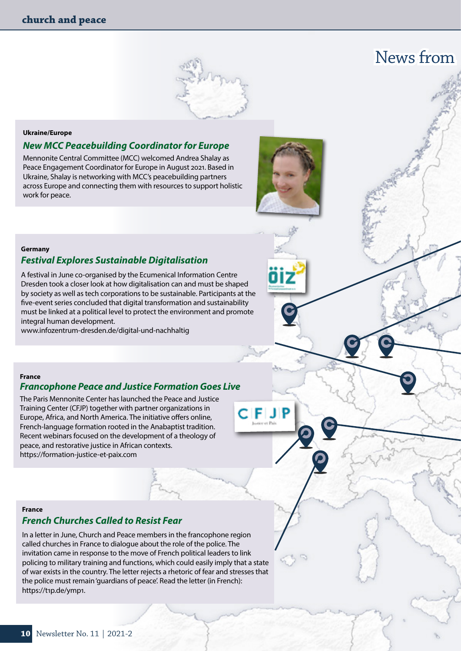### News from



#### **Ukraine/Europe**

#### *New MCC Peacebuilding Coordinator for Europe*

Mennonite Central Committee (MCC) welcomed Andrea Shalay as Peace Engagement Coordinator for Europe in August 2021. Based in Ukraine, Shalay is networking with MCC's peacebuilding partners across Europe and connecting them with resources to support holistic work for peace.



C IFI J IF

#### **Germany**

#### *Festival Explores Sustainable Digitalisation*

A festival in June co-organised by the Ecumenical Information Centre Dresden took a closer look at how digitalisation can and must be shaped by society as well as tech corporations to be sustainable. Participants at the five-event series concluded that digital transformation and sustainability must be linked at a political level to protect the environment and promote integral human development.

[www.infozentrum-dresden.de/digital-und-nachhaltig](http://www.infozentrum-dresden.de/digital-und-nachhaltig)

#### **France**

#### *Francophone Peace and Justice Formation Goes Live*

The Paris Mennonite Center has launched the Peace and Justice Training Center (CFJP) together with partner organizations in Europe, Africa, and North America. The initiative offers online, French-language formation rooted in the Anabaptist tradition. Recent webinars focused on the development of a theology of peace, and restorative justice in African contexts. <https://formation-justice-et-paix.com>

#### **France**

#### *French Churches Called to Resist Fear*

In a letter in June, Church and Peace members in the francophone region called churches in France to dialogue about the role of the police. The invitation came in response to the move of French political leaders to link policing to military training and functions, which could easily imply that a state of war exists in the country. The letter rejects a rhetoric of fear and stresses that the police must remain 'guardians of peace'. Read the letter (in French): <https://t1p.de/ymp1>.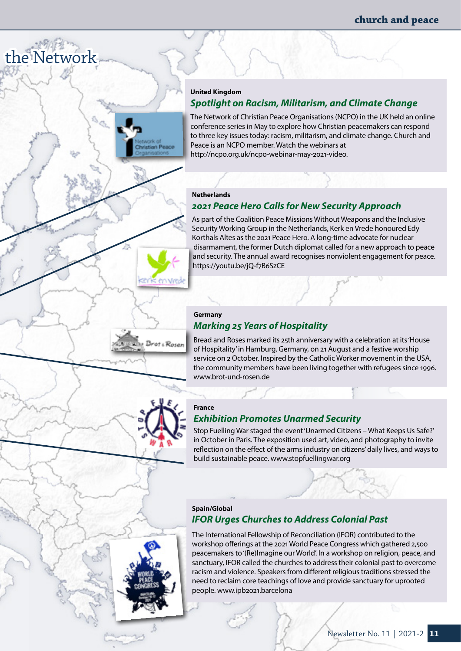#### **United Kingdom**

#### *Spotlight on Racism, Militarism, and Climate Change*

The Network of Christian Peace Organisations (NCPO) in the UK held an online conference series in May to explore how Christian peacemakers can respond to three key issues today: racism, militarism, and climate change. Church and Peace is an NCPO member. Watch the webinars at <http://ncpo.org.uk/ncpo-webinar-may-2021-video>.

#### **Netherlands**

the Network

#### *2021 Peace Hero Calls for New Security Approach*

As part of the Coalition Peace Missions Without Weapons and the Inclusive Security Working Group in the Netherlands, Kerk en Vrede honoured Edy Korthals Altes as the 2021 Peace Hero. A long-time advocate for nuclear disarmament, the former Dutch diplomat called for a new approach to peace and security. The annual award recognises nonviolent engagement for peace. <https://youtu.be/jQ-f7B6SzCE>

#### **Germany**

**K** en vrede

Brot & Rosen

#### *Marking 25 Years of Hospitality*

Bread and Roses marked its 25th anniversary with a celebration at its 'House of Hospitality' in Hamburg, Germany, on 21 August and a festive worship service on 2 October. Inspired by the Catholic Worker movement in the USA, the community members have been living together with refugees since 1996. [www.brot-und-rosen.de](http://www.brot-und-rosen.de)

#### **France**

#### *Exhibition Promotes Unarmed Security*

Stop Fuelling War staged the event 'Unarmed Citizens – What Keeps Us Safe?' in October in Paris. The exposition used art, video, and photography to invite reflection on the effect of the arms industry on citizens' daily lives, and ways to build sustainable peace. [www.stopfuellingwar.org](http://www.stopfuellingwar.org)

#### **Spain/Global** *IFOR Urges Churches to Address Colonial Past*

The International Fellowship of Reconciliation (IFOR) contributed to the workshop offerings at the 2021 World Peace Congress which gathered 2,500 peacemakers to '(Re)Imagine our World'. In a workshop on religion, peace, and sanctuary, IFOR called the churches to address their colonial past to overcome racism and violence. Speakers from different religious traditions stressed the need to reclaim core teachings of love and provide sanctuary for uprooted people. www.ipb2021.barcelona